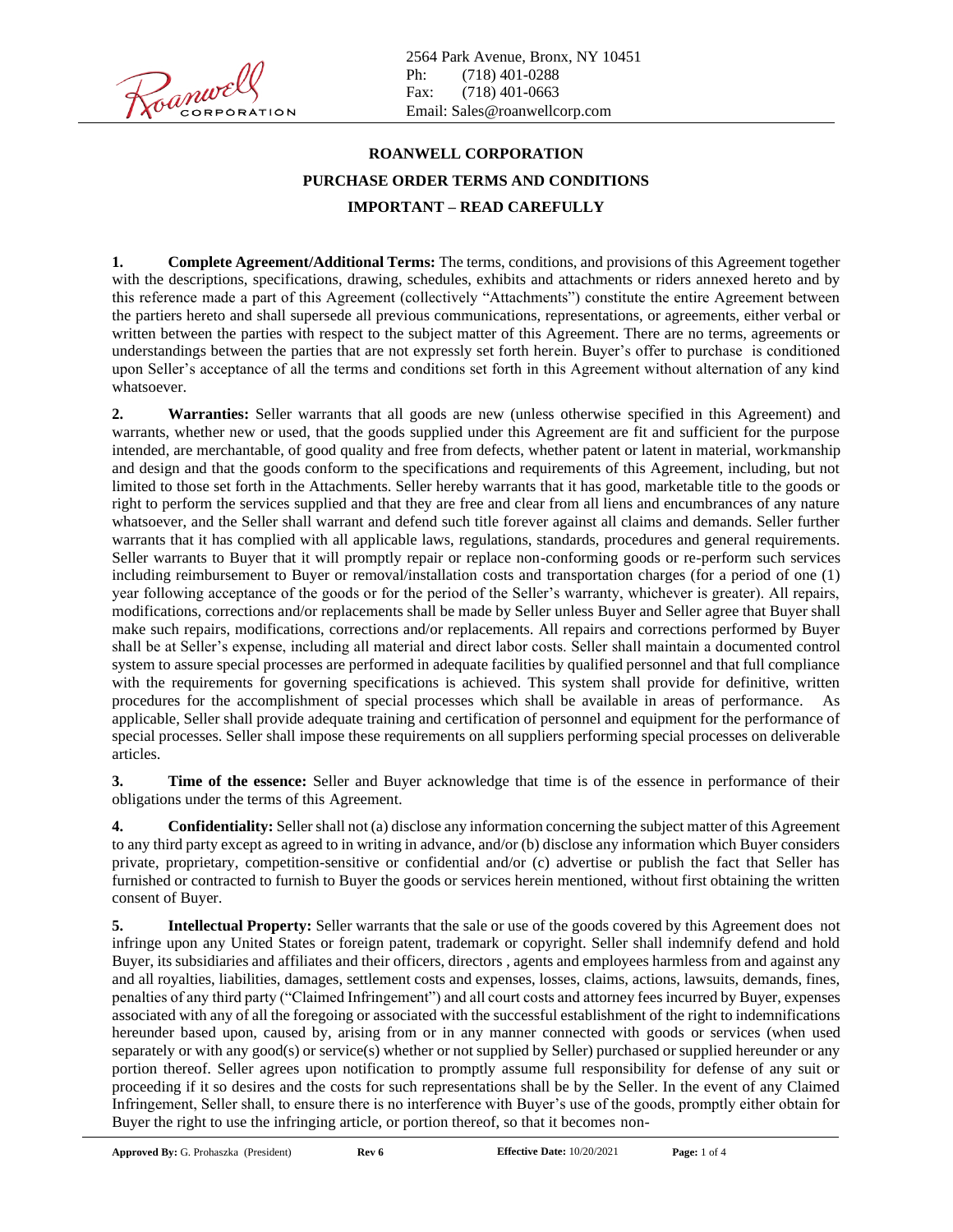2564 Park Avenue, Bronx, NY 10451 Ph: (718) 401-0288 Fax: (718) 401-0663 Email: [Sales@roanwellcorp.com](mailto:Sales@roanwellcorp.com)

## **ROANWELL CORPORATION PURCHASE ORDER TERMS AND CONDITIONS IMPORTANT – READ CAREFULLY**

**1. Complete Agreement/Additional Terms:** The terms, conditions, and provisions of this Agreement together with the descriptions, specifications, drawing, schedules, exhibits and attachments or riders annexed hereto and by this reference made a part of this Agreement (collectively "Attachments") constitute the entire Agreement between the partiers hereto and shall supersede all previous communications, representations, or agreements, either verbal or written between the parties with respect to the subject matter of this Agreement. There are no terms, agreements or understandings between the parties that are not expressly set forth herein. Buyer's offer to purchase is conditioned upon Seller's acceptance of all the terms and conditions set forth in this Agreement without alternation of any kind whatsoever.

**2. Warranties:** Seller warrants that all goods are new (unless otherwise specified in this Agreement) and warrants, whether new or used, that the goods supplied under this Agreement are fit and sufficient for the purpose intended, are merchantable, of good quality and free from defects, whether patent or latent in material, workmanship and design and that the goods conform to the specifications and requirements of this Agreement, including, but not limited to those set forth in the Attachments. Seller hereby warrants that it has good, marketable title to the goods or right to perform the services supplied and that they are free and clear from all liens and encumbrances of any nature whatsoever, and the Seller shall warrant and defend such title forever against all claims and demands. Seller further warrants that it has complied with all applicable laws, regulations, standards, procedures and general requirements. Seller warrants to Buyer that it will promptly repair or replace non-conforming goods or re-perform such services including reimbursement to Buyer or removal/installation costs and transportation charges (for a period of one (1) year following acceptance of the goods or for the period of the Seller's warranty, whichever is greater). All repairs, modifications, corrections and/or replacements shall be made by Seller unless Buyer and Seller agree that Buyer shall make such repairs, modifications, corrections and/or replacements. All repairs and corrections performed by Buyer shall be at Seller's expense, including all material and direct labor costs. Seller shall maintain a documented control system to assure special processes are performed in adequate facilities by qualified personnel and that full compliance with the requirements for governing specifications is achieved. This system shall provide for definitive, written procedures for the accomplishment of special processes which shall be available in areas of performance. As applicable, Seller shall provide adequate training and certification of personnel and equipment for the performance of special processes. Seller shall impose these requirements on all suppliers performing special processes on deliverable articles.

**3. Time of the essence:** Seller and Buyer acknowledge that time is of the essence in performance of their obligations under the terms of this Agreement.

**4. Confidentiality:** Seller shall not (a) disclose any information concerning the subject matter of this Agreement to any third party except as agreed to in writing in advance, and/or (b) disclose any information which Buyer considers private, proprietary, competition-sensitive or confidential and/or (c) advertise or publish the fact that Seller has furnished or contracted to furnish to Buyer the goods or services herein mentioned, without first obtaining the written consent of Buyer.

**5. Intellectual Property:** Seller warrants that the sale or use of the goods covered by this Agreement does not infringe upon any United States or foreign patent, trademark or copyright. Seller shall indemnify defend and hold Buyer, its subsidiaries and affiliates and their officers, directors , agents and employees harmless from and against any and all royalties, liabilities, damages, settlement costs and expenses, losses, claims, actions, lawsuits, demands, fines, penalties of any third party ("Claimed Infringement") and all court costs and attorney fees incurred by Buyer, expenses associated with any of all the foregoing or associated with the successful establishment of the right to indemnifications hereunder based upon, caused by, arising from or in any manner connected with goods or services (when used separately or with any good(s) or service(s) whether or not supplied by Seller) purchased or supplied hereunder or any portion thereof. Seller agrees upon notification to promptly assume full responsibility for defense of any suit or proceeding if it so desires and the costs for such representations shall be by the Seller. In the event of any Claimed Infringement, Seller shall, to ensure there is no interference with Buyer's use of the goods, promptly either obtain for Buyer the right to use the infringing article, or portion thereof, so that it becomes non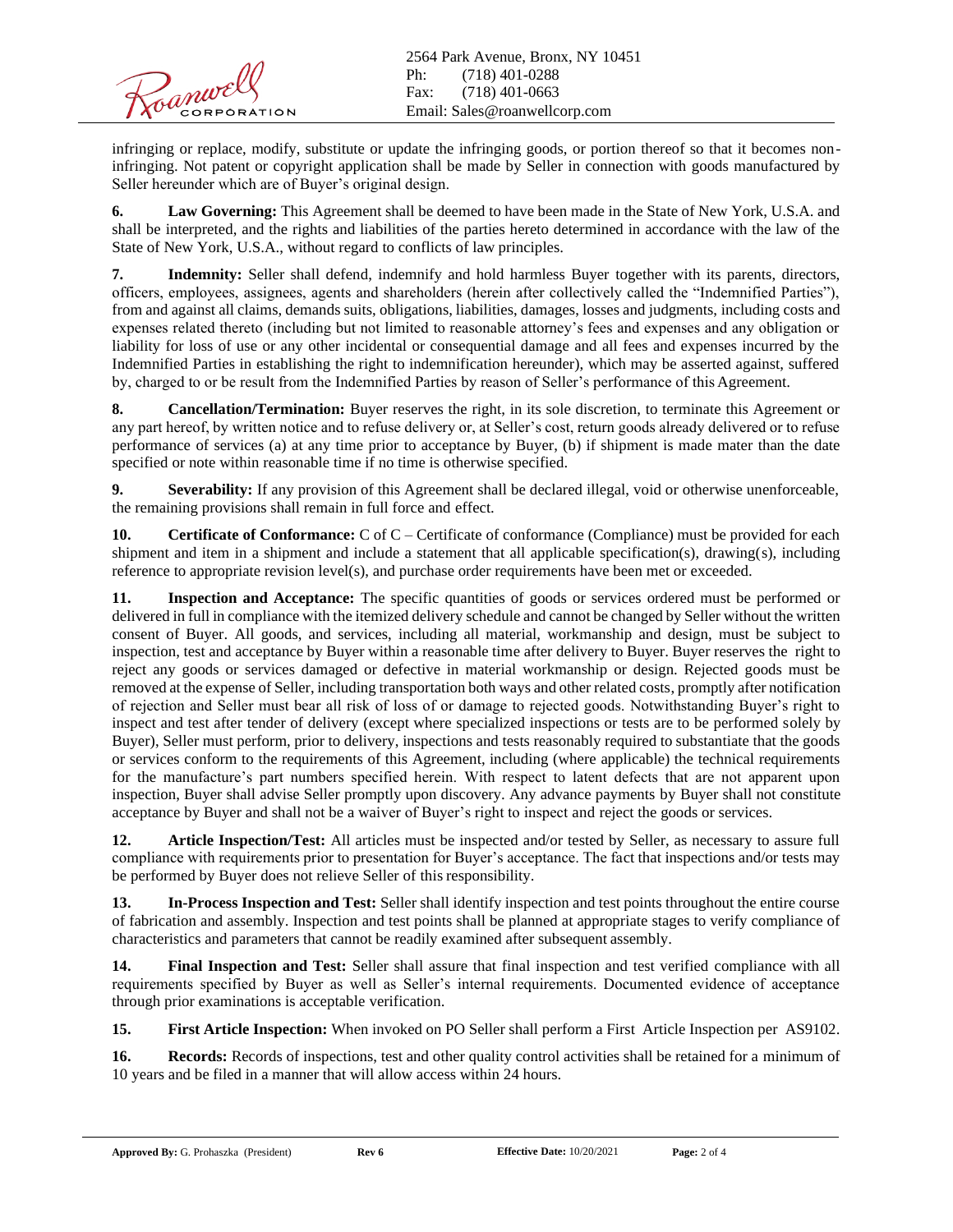infringing or replace, modify, substitute or update the infringing goods, or portion thereof so that it becomes noninfringing. Not patent or copyright application shall be made by Seller in connection with goods manufactured by Seller hereunder which are of Buyer's original design.

**6. Law Governing:** This Agreement shall be deemed to have been made in the State of New York, U.S.A. and shall be interpreted, and the rights and liabilities of the parties hereto determined in accordance with the law of the State of New York, U.S.A., without regard to conflicts of law principles.

**7. Indemnity:** Seller shall defend, indemnify and hold harmless Buyer together with its parents, directors, officers, employees, assignees, agents and shareholders (herein after collectively called the "Indemnified Parties"), from and against all claims, demands suits, obligations, liabilities, damages, losses and judgments, including costs and expenses related thereto (including but not limited to reasonable attorney's fees and expenses and any obligation or liability for loss of use or any other incidental or consequential damage and all fees and expenses incurred by the Indemnified Parties in establishing the right to indemnification hereunder), which may be asserted against, suffered by, charged to or be result from the Indemnified Parties by reason of Seller's performance of this Agreement.

**8. Cancellation/Termination:** Buyer reserves the right, in its sole discretion, to terminate this Agreement or any part hereof, by written notice and to refuse delivery or, at Seller's cost, return goods already delivered or to refuse performance of services (a) at any time prior to acceptance by Buyer, (b) if shipment is made mater than the date specified or note within reasonable time if no time is otherwise specified.

**9. Severability:** If any provision of this Agreement shall be declared illegal, void or otherwise unenforceable, the remaining provisions shall remain in full force and effect.

**10. Certificate of Conformance:** C of C – Certificate of conformance (Compliance) must be provided for each shipment and item in a shipment and include a statement that all applicable specification(s), drawing(s), including reference to appropriate revision level(s), and purchase order requirements have been met or exceeded.

**11. Inspection and Acceptance:** The specific quantities of goods or services ordered must be performed or delivered in full in compliance with the itemized delivery schedule and cannot be changed by Seller without the written consent of Buyer. All goods, and services, including all material, workmanship and design, must be subject to inspection, test and acceptance by Buyer within a reasonable time after delivery to Buyer. Buyer reserves the right to reject any goods or services damaged or defective in material workmanship or design. Rejected goods must be removed at the expense of Seller, including transportation both ways and other related costs, promptly after notification of rejection and Seller must bear all risk of loss of or damage to rejected goods. Notwithstanding Buyer's right to inspect and test after tender of delivery (except where specialized inspections or tests are to be performed solely by Buyer), Seller must perform, prior to delivery, inspections and tests reasonably required to substantiate that the goods or services conform to the requirements of this Agreement, including (where applicable) the technical requirements for the manufacture's part numbers specified herein. With respect to latent defects that are not apparent upon inspection, Buyer shall advise Seller promptly upon discovery. Any advance payments by Buyer shall not constitute acceptance by Buyer and shall not be a waiver of Buyer's right to inspect and reject the goods or services.

**12. Article Inspection/Test:** All articles must be inspected and/or tested by Seller, as necessary to assure full compliance with requirements prior to presentation for Buyer's acceptance. The fact that inspections and/or tests may be performed by Buyer does not relieve Seller of this responsibility.

**13. In-Process Inspection and Test:** Seller shall identify inspection and test points throughout the entire course of fabrication and assembly. Inspection and test points shall be planned at appropriate stages to verify compliance of characteristics and parameters that cannot be readily examined after subsequent assembly.

**14. Final Inspection and Test:** Seller shall assure that final inspection and test verified compliance with all requirements specified by Buyer as well as Seller's internal requirements. Documented evidence of acceptance through prior examinations is acceptable verification.

**15. First Article Inspection:** When invoked on PO Seller shall perform a First Article Inspection per AS9102.

16. **Records:** Records of inspections, test and other quality control activities shall be retained for a minimum of 10 years and be filed in a manner that will allow access within 24 hours.

**Approved By:** G. Prohaszka (President) **Rev 6 Effective Date:** 10/20/2021 **Page:** 2 of 4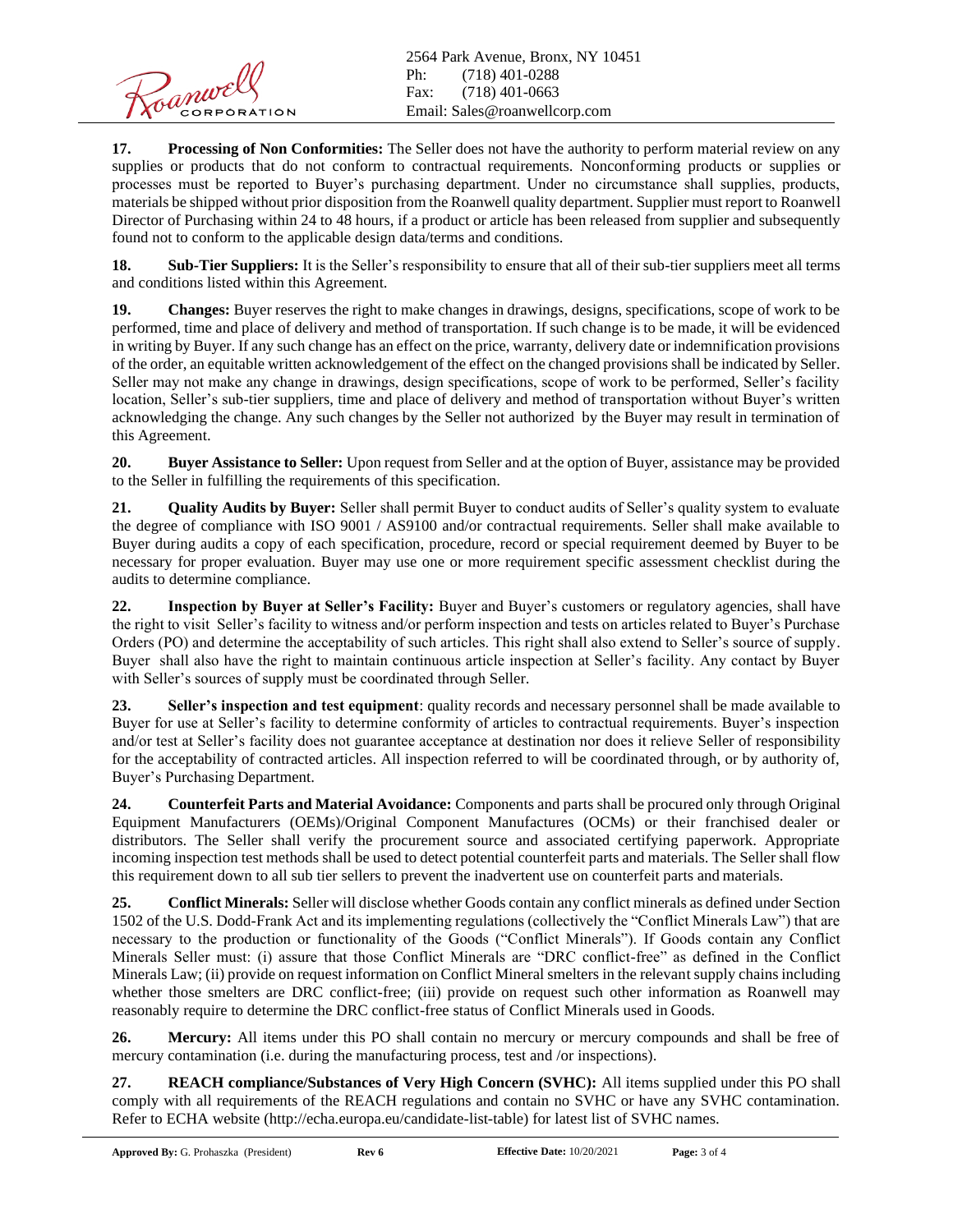2564 Park Avenue, Bronx, NY 10451 Ph: (718) 401-0288 Fax: (718) 401-0663 Email: [Sales@roanwellcorp.com](mailto:Sales@roanwellcorp.com)

**17. Processing of Non Conformities:** The Seller does not have the authority to perform material review on any supplies or products that do not conform to contractual requirements. Nonconforming products or supplies or processes must be reported to Buyer's purchasing department. Under no circumstance shall supplies, products, materials be shipped without prior disposition from the Roanwell quality department. Supplier must report to Roanwell Director of Purchasing within 24 to 48 hours, if a product or article has been released from supplier and subsequently found not to conform to the applicable design data/terms and conditions.

**18. Sub-Tier Suppliers:** It is the Seller's responsibility to ensure that all of their sub-tier suppliers meet all terms and conditions listed within this Agreement.

**19. Changes:** Buyer reserves the right to make changes in drawings, designs, specifications, scope of work to be performed, time and place of delivery and method of transportation. If such change is to be made, it will be evidenced in writing by Buyer. If any such change has an effect on the price, warranty, delivery date or indemnification provisions of the order, an equitable written acknowledgement of the effect on the changed provisions shall be indicated by Seller. Seller may not make any change in drawings, design specifications, scope of work to be performed, Seller's facility location, Seller's sub-tier suppliers, time and place of delivery and method of transportation without Buyer's written acknowledging the change. Any such changes by the Seller not authorized by the Buyer may result in termination of this Agreement.

**20. Buyer Assistance to Seller:** Upon request from Seller and at the option of Buyer, assistance may be provided to the Seller in fulfilling the requirements of this specification.

**21. Quality Audits by Buyer:** Seller shall permit Buyer to conduct audits of Seller's quality system to evaluate the degree of compliance with ISO 9001 / AS9100 and/or contractual requirements. Seller shall make available to Buyer during audits a copy of each specification, procedure, record or special requirement deemed by Buyer to be necessary for proper evaluation. Buyer may use one or more requirement specific assessment checklist during the audits to determine compliance.

**22. Inspection by Buyer at Seller's Facility:** Buyer and Buyer's customers or regulatory agencies, shall have the right to visit Seller's facility to witness and/or perform inspection and tests on articles related to Buyer's Purchase Orders (PO) and determine the acceptability of such articles. This right shall also extend to Seller's source of supply. Buyer shall also have the right to maintain continuous article inspection at Seller's facility. Any contact by Buyer with Seller's sources of supply must be coordinated through Seller.

**23. Seller's inspection and test equipment**: quality records and necessary personnel shall be made available to Buyer for use at Seller's facility to determine conformity of articles to contractual requirements. Buyer's inspection and/or test at Seller's facility does not guarantee acceptance at destination nor does it relieve Seller of responsibility for the acceptability of contracted articles. All inspection referred to will be coordinated through, or by authority of, Buyer's Purchasing Department.

**24. Counterfeit Parts and Material Avoidance:** Components and parts shall be procured only through Original Equipment Manufacturers (OEMs)/Original Component Manufactures (OCMs) or their franchised dealer or distributors. The Seller shall verify the procurement source and associated certifying paperwork. Appropriate incoming inspection test methods shall be used to detect potential counterfeit parts and materials. The Seller shall flow this requirement down to all sub tier sellers to prevent the inadvertent use on counterfeit parts and materials.

**25. Conflict Minerals:** Seller will disclose whether Goods contain any conflict minerals as defined under Section 1502 of the U.S. Dodd-Frank Act and its implementing regulations (collectively the "Conflict Minerals Law") that are necessary to the production or functionality of the Goods ("Conflict Minerals"). If Goods contain any Conflict Minerals Seller must: (i) assure that those Conflict Minerals are "DRC conflict-free" as defined in the Conflict Minerals Law; (ii) provide on request information on Conflict Mineral smelters in the relevant supply chains including whether those smelters are DRC conflict-free; (iii) provide on request such other information as Roanwell may reasonably require to determine the DRC conflict-free status of Conflict Minerals used in Goods.

**26. Mercury:** All items under this PO shall contain no mercury or mercury compounds and shall be free of mercury contamination (i.e. during the manufacturing process, test and /or inspections).

**27. REACH compliance/Substances of Very High Concern (SVHC):** All items supplied under this PO shall comply with all requirements of the REACH regulations and contain no SVHC or have any SVHC contamination. Refer to ECHA website [\(http://echa.europa.eu/candidate-list-table\) f](http://echa.europa.eu/candidate-list-table))or latest list of SVHC names.